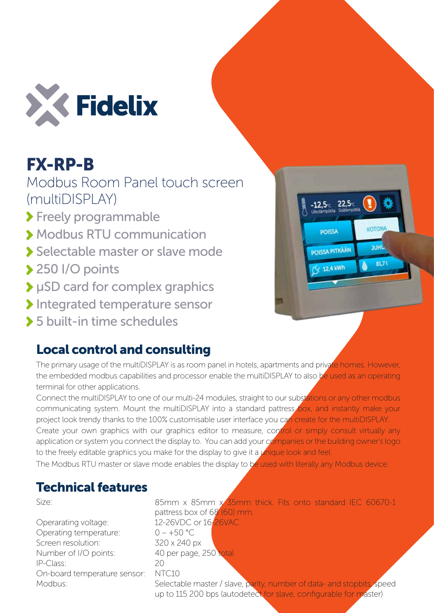

## FX-RP-B

Modbus Room Panel touch screen (multiDISPLAY)

> Freely programmable

- Modbus RTU communication
- Selectable master or slave mode
- ◆ 250 I/O points
- μSD card for complex graphics
- Integrated temperature sensor
- 5 built-in time schedules

## Local control and consulting

The primary usage of the multiDISPLAY is as room panel in hotels, apartments and private homes. However, the embedded modbus capabilities and processor enable the multiDISPLAY to also be used as an operating terminal for other applications.

Connect the multiDISPLAY to one of our multi-24 modules, straight to our substations or any other modbus communicating system. Mount the multiDISPLAY into a standard pattress box, and instantly make your project look trendy thanks to the 100% customisable user interface you can create for the multiDISPLAY. Create your own graphics with our graphics editor to measure, control or simply consult virtually any application or system you connect the display to. You can add your companies or the building owner's logo to the freely editable graphics you make for the display to give it a *unique look and feel.* 

The Modbus RTU master or slave mode enables the display to be used with literally any Modbus device.

## Technical features

Size:

Operarating voltage: Operating temperature: Screen resolution: Number of I/O points: IP-Class: On-board temperature sensor: Modbus:

85mm x 85mm x 35mm thick. Fits onto standard IEC 60670-1 pattress box of 68 (60) mm. 12-26VDC or 16-26VAC  $0 - +50$  °C 320 x 240 px 40 per page, 250 total  $20$ NTC10 Selectable master / slave, parity, number of data- and stopbits, speed

up to 115 200 bps (autodetect for slave, configurable for master)